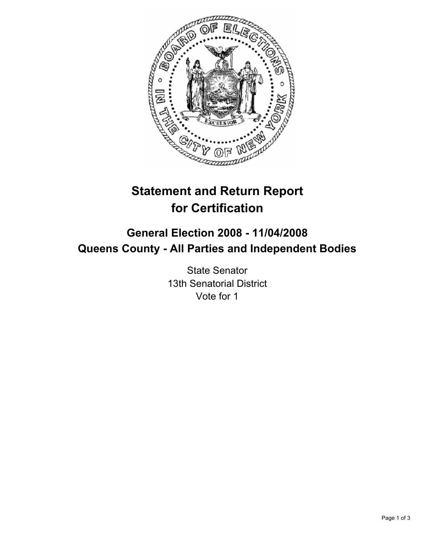

# **Statement and Return Report for Certification**

# **General Election 2008 - 11/04/2008 Queens County - All Parties and Independent Bodies**

State Senator 13th Senatorial District Vote for 1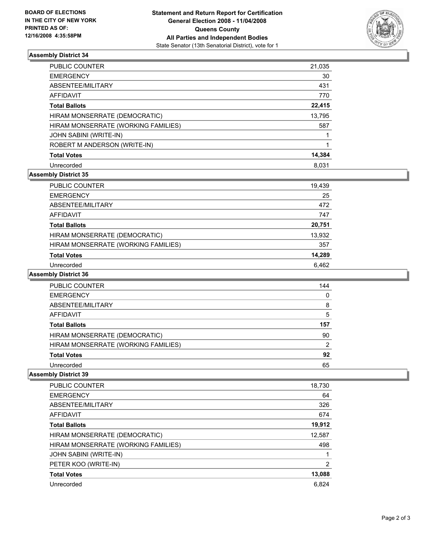

## **Assembly District 34**

| <b>PUBLIC COUNTER</b>               | 21,035 |
|-------------------------------------|--------|
| <b>EMERGENCY</b>                    | 30     |
| ABSENTEE/MILITARY                   | 431    |
| AFFIDAVIT                           | 770    |
| <b>Total Ballots</b>                | 22,415 |
| HIRAM MONSERRATE (DEMOCRATIC)       | 13,795 |
| HIRAM MONSERRATE (WORKING FAMILIES) | 587    |
| <b>JOHN SABINI (WRITE-IN)</b>       |        |
| ROBERT M ANDERSON (WRITE-IN)        |        |
| <b>Total Votes</b>                  | 14,384 |
| Unrecorded                          | 8.031  |

# **Assembly District 35**

| PUBLIC COUNTER                      | 19,439 |
|-------------------------------------|--------|
| <b>EMERGENCY</b>                    | 25     |
| ABSENTEE/MILITARY                   | 472    |
| AFFIDAVIT                           | 747    |
| <b>Total Ballots</b>                | 20,751 |
| HIRAM MONSERRATE (DEMOCRATIC)       | 13,932 |
| HIRAM MONSERRATE (WORKING FAMILIES) | 357    |
| <b>Total Votes</b>                  | 14,289 |
| Unrecorded                          | 6.462  |

### **Assembly District 36**

| <b>PUBLIC COUNTER</b>               | 144 |
|-------------------------------------|-----|
| <b>EMERGENCY</b>                    |     |
| ABSENTEE/MILITARY                   | 8   |
| AFFIDAVIT                           |     |
| <b>Total Ballots</b>                | 157 |
| HIRAM MONSERRATE (DEMOCRATIC)       | 90  |
| HIRAM MONSERRATE (WORKING FAMILIES) |     |
| <b>Total Votes</b>                  | 92  |
| Unrecorded                          | 65  |

## **Assembly District 39**

| <b>PUBLIC COUNTER</b>               | 18,730 |
|-------------------------------------|--------|
| <b>EMERGENCY</b>                    | 64     |
| ABSENTEE/MILITARY                   | 326    |
| AFFIDAVIT                           | 674    |
| <b>Total Ballots</b>                | 19,912 |
| HIRAM MONSERRATE (DEMOCRATIC)       | 12,587 |
| HIRAM MONSERRATE (WORKING FAMILIES) | 498    |
| JOHN SABINI (WRITE-IN)              |        |
| PETER KOO (WRITE-IN)                | 2      |
| <b>Total Votes</b>                  | 13,088 |
| Unrecorded                          | 6,824  |